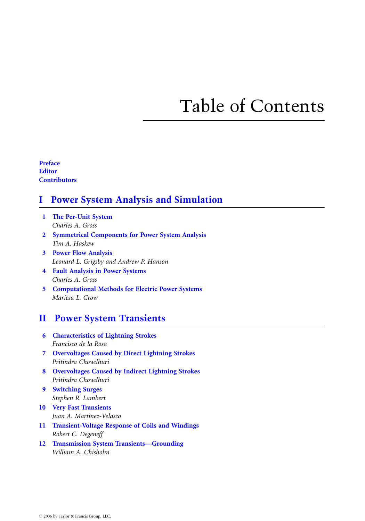# Table of Contents

Preface **Editor Contributors** 

## I Power System Analysis and Simulation

- 1 The Per-Unit System Charles A. Gross
- 2 Symmetrical Components for Power System Analysis Tim A. Haskew
- 3 Power Flow Analysis Leonard L. Grigsby and Andrew P. Hanson
- 4 Fault Analysis in Power Systems Charles A. Gross
- 5 Computational Methods for Electric Power Systems Mariesa L. Crow

#### II Power System Transients

- 6 Characteristics of Lightning Strokes Francisco de la Rosa
- 7 Overvoltages Caused by Direct Lightning Strokes Pritindra Chowdhuri
- 8 Overvoltages Caused by Indirect Lightning Strokes Pritindra Chowdhuri
- 9 Switching Surges Stephen R. Lambert
- 10 Very Fast Transients Juan A. Martinez-Velasco
- 11 Transient-Voltage Response of Coils and Windings Robert C. Degeneff
- 12 Transmission System Transients—Grounding William A. Chisholm